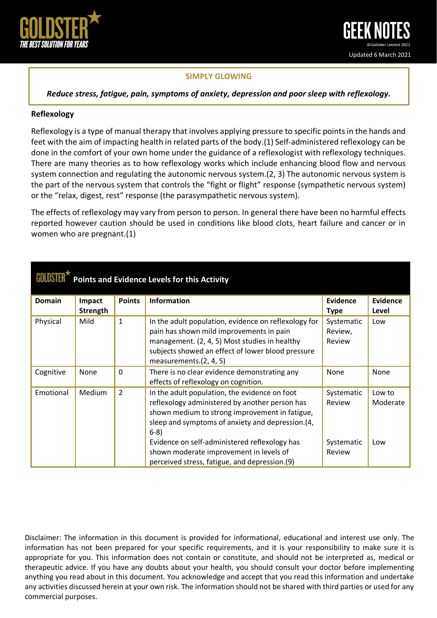

## **SIMPLY GLOWING**

*Reduce stress, fatigue, pain, symptoms of anxiety, depression and poor sleep with reflexology.*

### **Reflexology**

Reflexology is a type of manual therapy that involves applying pressure to specific points in the hands and feet with the aim of impacting health in related parts of the body.(1) Self-administered reflexology can be done in the comfort of your own home under the guidance of a reflexologist with reflexology techniques. There are many theories as to how reflexology works which include enhancing blood flow and nervous system connection and regulating the autonomic nervous system.(2, 3) The autonomic nervous system is the part of the nervous system that controls the "fight or flight" response (sympathetic nervous system) or the "relax, digest, rest" response (the parasympathetic nervous system).

The effects of reflexology may vary from person to person. In general there have been no harmful effects reported however caution should be used in conditions like blood clots, heart failure and cancer or in women who are pregnant.(1)

| <b>Points and Evidence Levels for this Activity</b> |                    |                |                                                                                                                                                                                                                                                                   |                                    |                           |  |  |  |  |
|-----------------------------------------------------|--------------------|----------------|-------------------------------------------------------------------------------------------------------------------------------------------------------------------------------------------------------------------------------------------------------------------|------------------------------------|---------------------------|--|--|--|--|
| <b>Domain</b>                                       | Impact<br>Strength | <b>Points</b>  | <b>Information</b>                                                                                                                                                                                                                                                | <b>Evidence</b><br><b>Type</b>     | <b>Evidence</b><br>Level  |  |  |  |  |
| Physical                                            | Mild               | $\mathbf{1}$   | In the adult population, evidence on reflexology for<br>pain has shown mild improvements in pain<br>management. (2, 4, 5) Most studies in healthy<br>subjects showed an effect of lower blood pressure<br>measurements.(2, 4, 5)                                  | Systematic<br>Review,<br>Review    | Low                       |  |  |  |  |
| Cognitive                                           | None               | $\mathbf{0}$   | There is no clear evidence demonstrating any<br>effects of reflexology on cognition.                                                                                                                                                                              | None                               | None                      |  |  |  |  |
| Emotional                                           | <b>Medium</b>      | $\overline{2}$ | In the adult population, the evidence on foot<br>reflexology administered by another person has<br>shown medium to strong improvement in fatigue,<br>sleep and symptoms of anxiety and depression. (4,<br>$6-8)$<br>Evidence on self-administered reflexology has | Systematic<br>Review<br>Systematic | Low to<br>Moderate<br>Low |  |  |  |  |
|                                                     |                    |                | shown moderate improvement in levels of<br>perceived stress, fatigue, and depression.(9)                                                                                                                                                                          | Review                             |                           |  |  |  |  |

Disclaimer: The information in this document is provided for informational, educational and interest use only. The information has not been prepared for your specific requirements, and it is your responsibility to make sure it is appropriate for you. This information does not contain or constitute, and should not be interpreted as, medical or therapeutic advice. If you have any doubts about your health, you should consult your doctor before implementing anything you read about in this document. You acknowledge and accept that you read this information and undertake any activities discussed herein at your own risk. The information should not be shared with third parties or used for any commercial purposes.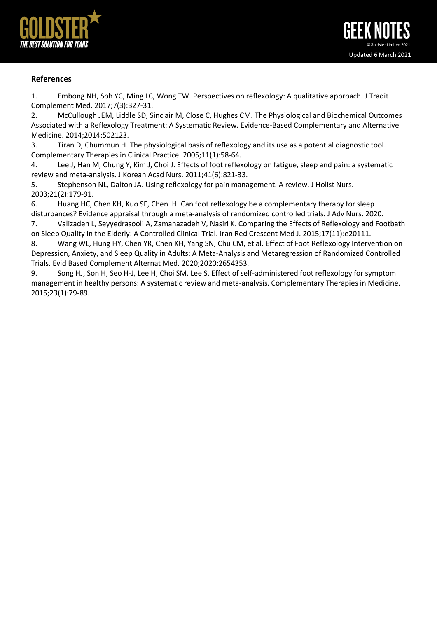

## **References**

1. Embong NH, Soh YC, Ming LC, Wong TW. Perspectives on reflexology: A qualitative approach. J Tradit Complement Med. 2017;7(3):327-31.

2. McCullough JEM, Liddle SD, Sinclair M, Close C, Hughes CM. The Physiological and Biochemical Outcomes Associated with a Reflexology Treatment: A Systematic Review. Evidence-Based Complementary and Alternative Medicine. 2014;2014:502123.

3. Tiran D, Chummun H. The physiological basis of reflexology and its use as a potential diagnostic tool. Complementary Therapies in Clinical Practice. 2005;11(1):58-64.

4. Lee J, Han M, Chung Y, Kim J, Choi J. Effects of foot reflexology on fatigue, sleep and pain: a systematic review and meta-analysis. J Korean Acad Nurs. 2011;41(6):821-33.

5. Stephenson NL, Dalton JA. Using reflexology for pain management. A review. J Holist Nurs. 2003;21(2):179-91.

6. Huang HC, Chen KH, Kuo SF, Chen IH. Can foot reflexology be a complementary therapy for sleep disturbances? Evidence appraisal through a meta-analysis of randomized controlled trials. J Adv Nurs. 2020.

7. Valizadeh L, Seyyedrasooli A, Zamanazadeh V, Nasiri K. Comparing the Effects of Reflexology and Footbath on Sleep Quality in the Elderly: A Controlled Clinical Trial. Iran Red Crescent Med J. 2015;17(11):e20111.

8. Wang WL, Hung HY, Chen YR, Chen KH, Yang SN, Chu CM, et al. Effect of Foot Reflexology Intervention on Depression, Anxiety, and Sleep Quality in Adults: A Meta-Analysis and Metaregression of Randomized Controlled Trials. Evid Based Complement Alternat Med. 2020;2020:2654353.

9. Song HJ, Son H, Seo H-J, Lee H, Choi SM, Lee S. Effect of self-administered foot reflexology for symptom management in healthy persons: A systematic review and meta-analysis. Complementary Therapies in Medicine. 2015;23(1):79-89.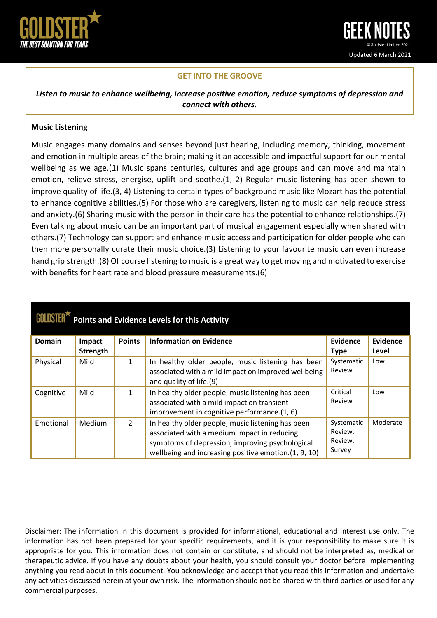

# **GET INTO THE GROOVE**

*Listen to music to enhance wellbeing, increase positive emotion, reduce symptoms of depression and connect with others.*

### **Music Listening**

Music engages many domains and senses beyond just hearing, including memory, thinking, movement and emotion in multiple areas of the brain; making it an accessible and impactful support for our mental wellbeing as we age.(1) Music spans centuries, cultures and age groups and can move and maintain emotion, relieve stress, energise, uplift and soothe.(1, 2) Regular music listening has been shown to improve quality of life.(3, 4) Listening to certain types of background music like Mozart has the potential to enhance cognitive abilities.(5) For those who are caregivers, listening to music can help reduce stress and anxiety.(6) Sharing music with the person in their care has the potential to enhance relationships.(7) Even talking about music can be an important part of musical engagement especially when shared with others.(7) Technology can support and enhance music access and participation for older people who can then more personally curate their music choice.(3) Listening to your favourite music can even increase hand grip strength.(8) Of course listening to music is a great way to get moving and motivated to exercise with benefits for heart rate and blood pressure measurements.(6)

| <b>Points and Evidence Levels for this Activity</b> |          |                |                                                                                                                                                                                                             |                                            |                 |  |  |  |  |
|-----------------------------------------------------|----------|----------------|-------------------------------------------------------------------------------------------------------------------------------------------------------------------------------------------------------------|--------------------------------------------|-----------------|--|--|--|--|
| <b>Domain</b>                                       | Impact   | <b>Points</b>  | <b>Information on Evidence</b>                                                                                                                                                                              | Evidence                                   | <b>Evidence</b> |  |  |  |  |
|                                                     | Strength |                |                                                                                                                                                                                                             | <b>Type</b>                                | Level           |  |  |  |  |
| Physical                                            | Mild     | 1              | In healthy older people, music listening has been<br>associated with a mild impact on improved wellbeing<br>and quality of life.(9)                                                                         | Systematic<br>Review                       | Low             |  |  |  |  |
| Cognitive                                           | Mild     | 1              | In healthy older people, music listening has been<br>associated with a mild impact on transient<br>improvement in cognitive performance.(1, 6)                                                              | Critical<br>Review                         | Low             |  |  |  |  |
| Emotional                                           | Medium   | $\overline{2}$ | In healthy older people, music listening has been<br>associated with a medium impact in reducing<br>symptoms of depression, improving psychological<br>wellbeing and increasing positive emotion.(1, 9, 10) | Systematic<br>Review,<br>Review,<br>Survey | Moderate        |  |  |  |  |

Disclaimer: The information in this document is provided for informational, educational and interest use only. The information has not been prepared for your specific requirements, and it is your responsibility to make sure it is appropriate for you. This information does not contain or constitute, and should not be interpreted as, medical or therapeutic advice. If you have any doubts about your health, you should consult your doctor before implementing anything you read about in this document. You acknowledge and accept that you read this information and undertake any activities discussed herein at your own risk. The information should not be shared with third parties or used for any commercial purposes.